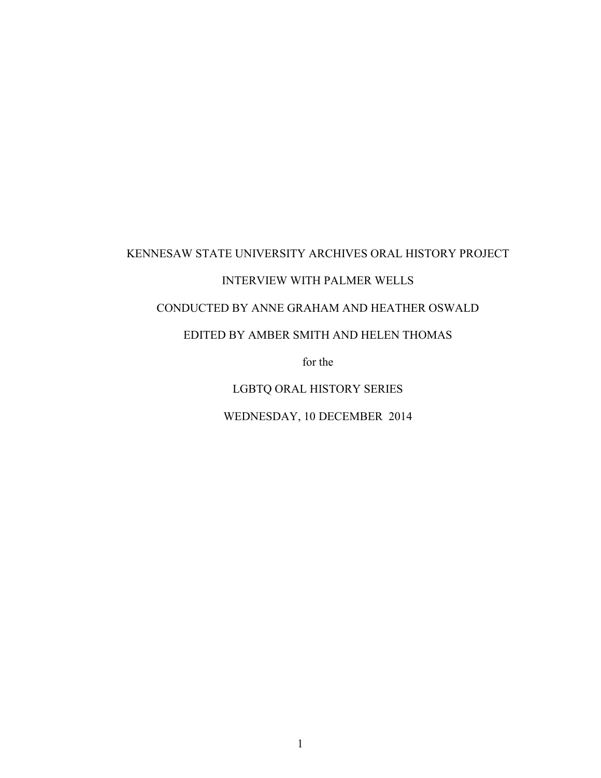## KENNESAW STATE UNIVERSITY ARCHIVES ORAL HISTORY PROJECT

## INTERVIEW WITH PALMER WELLS

## CONDUCTED BY ANNE GRAHAM AND HEATHER OSWALD

## EDITED BY AMBER SMITH AND HELEN THOMAS

for the

LGBTQ ORAL HISTORY SERIES

WEDNESDAY, 10 DECEMBER 2014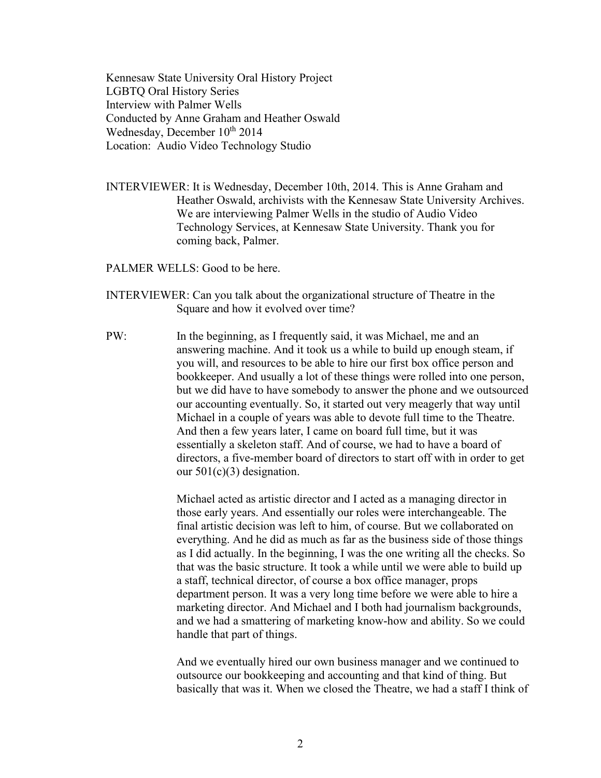Kennesaw State University Oral History Project LGBTQ Oral History Series Interview with Palmer Wells Conducted by Anne Graham and Heather Oswald Wednesday, December  $10^{th}$  2014 Location: Audio Video Technology Studio

INTERVIEWER: It is Wednesday, December 10th, 2014. This is Anne Graham and Heather Oswald, archivists with the Kennesaw State University Archives. We are interviewing Palmer Wells in the studio of Audio Video Technology Services, at Kennesaw State University. Thank you for coming back, Palmer.

PALMER WELLS: Good to be here.

- INTERVIEWER: Can you talk about the organizational structure of Theatre in the Square and how it evolved over time?
- PW: In the beginning, as I frequently said, it was Michael, me and an answering machine. And it took us a while to build up enough steam, if you will, and resources to be able to hire our first box office person and bookkeeper. And usually a lot of these things were rolled into one person, but we did have to have somebody to answer the phone and we outsourced our accounting eventually. So, it started out very meagerly that way until Michael in a couple of years was able to devote full time to the Theatre. And then a few years later, I came on board full time, but it was essentially a skeleton staff. And of course, we had to have a board of directors, a five-member board of directors to start off with in order to get our 501(c)(3) designation.

Michael acted as artistic director and I acted as a managing director in those early years. And essentially our roles were interchangeable. The final artistic decision was left to him, of course. But we collaborated on everything. And he did as much as far as the business side of those things as I did actually. In the beginning, I was the one writing all the checks. So that was the basic structure. It took a while until we were able to build up a staff, technical director, of course a box office manager, props department person. It was a very long time before we were able to hire a marketing director. And Michael and I both had journalism backgrounds, and we had a smattering of marketing know-how and ability. So we could handle that part of things.

And we eventually hired our own business manager and we continued to outsource our bookkeeping and accounting and that kind of thing. But basically that was it. When we closed the Theatre, we had a staff I think of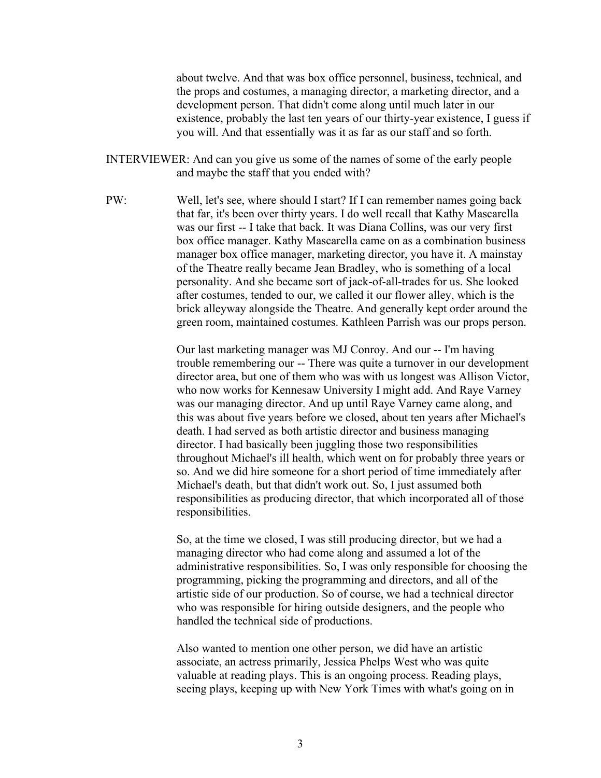about twelve. And that was box office personnel, business, technical, and the props and costumes, a managing director, a marketing director, and a development person. That didn't come along until much later in our existence, probably the last ten years of our thirty-year existence, I guess if you will. And that essentially was it as far as our staff and so forth.

- INTERVIEWER: And can you give us some of the names of some of the early people and maybe the staff that you ended with?
- PW: Well, let's see, where should I start? If I can remember names going back that far, it's been over thirty years. I do well recall that Kathy Mascarella was our first -- I take that back. It was Diana Collins, was our very first box office manager. Kathy Mascarella came on as a combination business manager box office manager, marketing director, you have it. A mainstay of the Theatre really became Jean Bradley, who is something of a local personality. And she became sort of jack-of-all-trades for us. She looked after costumes, tended to our, we called it our flower alley, which is the brick alleyway alongside the Theatre. And generally kept order around the green room, maintained costumes. Kathleen Parrish was our props person.

Our last marketing manager was MJ Conroy. And our -- I'm having trouble remembering our -- There was quite a turnover in our development director area, but one of them who was with us longest was Allison Victor, who now works for Kennesaw University I might add. And Raye Varney was our managing director. And up until Raye Varney came along, and this was about five years before we closed, about ten years after Michael's death. I had served as both artistic director and business managing director. I had basically been juggling those two responsibilities throughout Michael's ill health, which went on for probably three years or so. And we did hire someone for a short period of time immediately after Michael's death, but that didn't work out. So, I just assumed both responsibilities as producing director, that which incorporated all of those responsibilities.

So, at the time we closed, I was still producing director, but we had a managing director who had come along and assumed a lot of the administrative responsibilities. So, I was only responsible for choosing the programming, picking the programming and directors, and all of the artistic side of our production. So of course, we had a technical director who was responsible for hiring outside designers, and the people who handled the technical side of productions.

Also wanted to mention one other person, we did have an artistic associate, an actress primarily, Jessica Phelps West who was quite valuable at reading plays. This is an ongoing process. Reading plays, seeing plays, keeping up with New York Times with what's going on in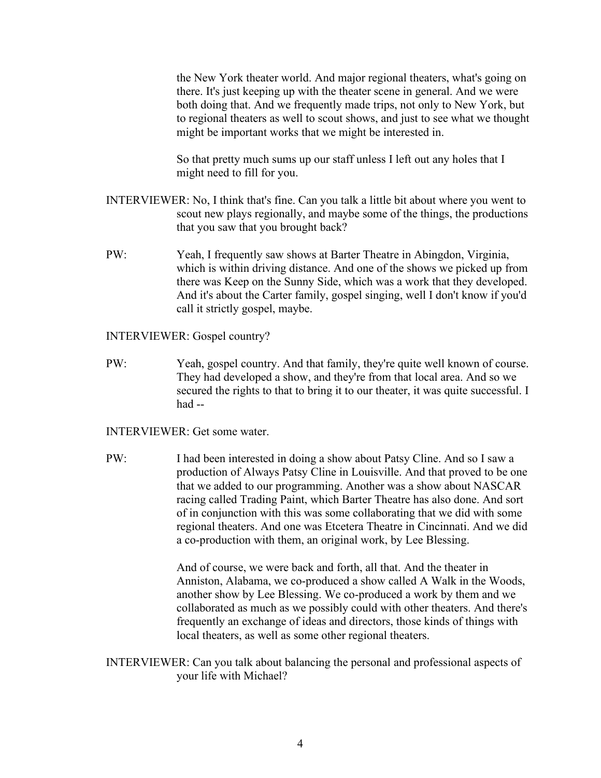the New York theater world. And major regional theaters, what's going on there. It's just keeping up with the theater scene in general. And we were both doing that. And we frequently made trips, not only to New York, but to regional theaters as well to scout shows, and just to see what we thought might be important works that we might be interested in.

So that pretty much sums up our staff unless I left out any holes that I might need to fill for you.

- INTERVIEWER: No, I think that's fine. Can you talk a little bit about where you went to scout new plays regionally, and maybe some of the things, the productions that you saw that you brought back?
- PW: Yeah, I frequently saw shows at Barter Theatre in Abingdon, Virginia, which is within driving distance. And one of the shows we picked up from there was Keep on the Sunny Side, which was a work that they developed. And it's about the Carter family, gospel singing, well I don't know if you'd call it strictly gospel, maybe.

INTERVIEWER: Gospel country?

PW: Yeah, gospel country. And that family, they're quite well known of course. They had developed a show, and they're from that local area. And so we secured the rights to that to bring it to our theater, it was quite successful. I had --

INTERVIEWER: Get some water.

PW: I had been interested in doing a show about Patsy Cline. And so I saw a production of Always Patsy Cline in Louisville. And that proved to be one that we added to our programming. Another was a show about NASCAR racing called Trading Paint, which Barter Theatre has also done. And sort of in conjunction with this was some collaborating that we did with some regional theaters. And one was Etcetera Theatre in Cincinnati. And we did a co-production with them, an original work, by Lee Blessing.

> And of course, we were back and forth, all that. And the theater in Anniston, Alabama, we co-produced a show called A Walk in the Woods, another show by Lee Blessing. We co-produced a work by them and we collaborated as much as we possibly could with other theaters. And there's frequently an exchange of ideas and directors, those kinds of things with local theaters, as well as some other regional theaters.

INTERVIEWER: Can you talk about balancing the personal and professional aspects of your life with Michael?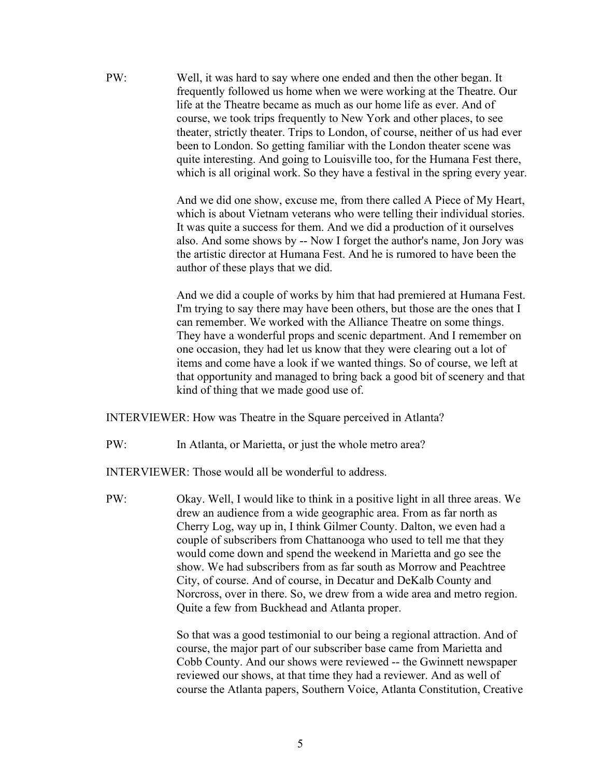PW: Well, it was hard to say where one ended and then the other began. It frequently followed us home when we were working at the Theatre. Our life at the Theatre became as much as our home life as ever. And of course, we took trips frequently to New York and other places, to see theater, strictly theater. Trips to London, of course, neither of us had ever been to London. So getting familiar with the London theater scene was quite interesting. And going to Louisville too, for the Humana Fest there, which is all original work. So they have a festival in the spring every year.

> And we did one show, excuse me, from there called A Piece of My Heart, which is about Vietnam veterans who were telling their individual stories. It was quite a success for them. And we did a production of it ourselves also. And some shows by -- Now I forget the author's name, Jon Jory was the artistic director at Humana Fest. And he is rumored to have been the author of these plays that we did.

> And we did a couple of works by him that had premiered at Humana Fest. I'm trying to say there may have been others, but those are the ones that I can remember. We worked with the Alliance Theatre on some things. They have a wonderful props and scenic department. And I remember on one occasion, they had let us know that they were clearing out a lot of items and come have a look if we wanted things. So of course, we left at that opportunity and managed to bring back a good bit of scenery and that kind of thing that we made good use of.

INTERVIEWER: How was Theatre in the Square perceived in Atlanta?

PW: In Atlanta, or Marietta, or just the whole metro area?

INTERVIEWER: Those would all be wonderful to address.

PW: Okay. Well, I would like to think in a positive light in all three areas. We drew an audience from a wide geographic area. From as far north as Cherry Log, way up in, I think Gilmer County. Dalton, we even had a couple of subscribers from Chattanooga who used to tell me that they would come down and spend the weekend in Marietta and go see the show. We had subscribers from as far south as Morrow and Peachtree City, of course. And of course, in Decatur and DeKalb County and Norcross, over in there. So, we drew from a wide area and metro region. Quite a few from Buckhead and Atlanta proper.

> So that was a good testimonial to our being a regional attraction. And of course, the major part of our subscriber base came from Marietta and Cobb County. And our shows were reviewed -- the Gwinnett newspaper reviewed our shows, at that time they had a reviewer. And as well of course the Atlanta papers, Southern Voice, Atlanta Constitution, Creative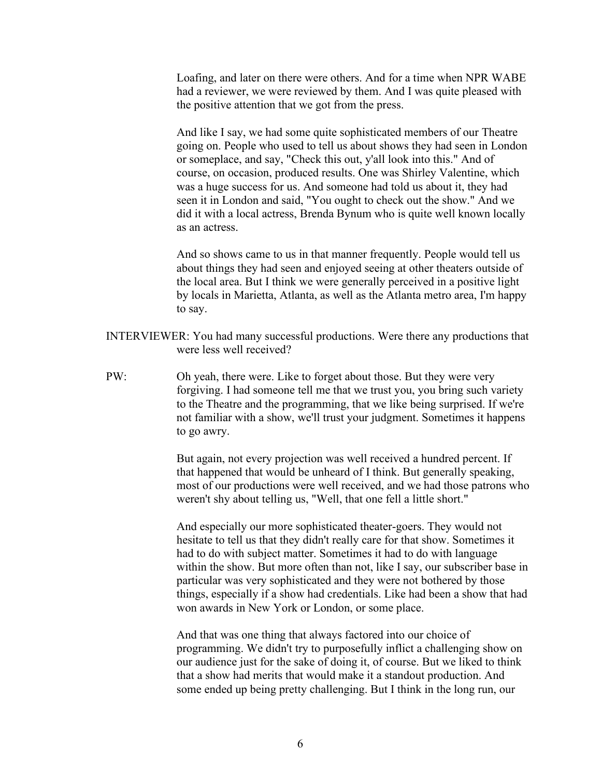Loafing, and later on there were others. And for a time when NPR WABE had a reviewer, we were reviewed by them. And I was quite pleased with the positive attention that we got from the press.

And like I say, we had some quite sophisticated members of our Theatre going on. People who used to tell us about shows they had seen in London or someplace, and say, "Check this out, y'all look into this." And of course, on occasion, produced results. One was Shirley Valentine, which was a huge success for us. And someone had told us about it, they had seen it in London and said, "You ought to check out the show." And we did it with a local actress, Brenda Bynum who is quite well known locally as an actress.

And so shows came to us in that manner frequently. People would tell us about things they had seen and enjoyed seeing at other theaters outside of the local area. But I think we were generally perceived in a positive light by locals in Marietta, Atlanta, as well as the Atlanta metro area, I'm happy to say.

- INTERVIEWER: You had many successful productions. Were there any productions that were less well received?
- PW: Oh yeah, there were. Like to forget about those. But they were very forgiving. I had someone tell me that we trust you, you bring such variety to the Theatre and the programming, that we like being surprised. If we're not familiar with a show, we'll trust your judgment. Sometimes it happens to go awry.

But again, not every projection was well received a hundred percent. If that happened that would be unheard of I think. But generally speaking, most of our productions were well received, and we had those patrons who weren't shy about telling us, "Well, that one fell a little short."

And especially our more sophisticated theater-goers. They would not hesitate to tell us that they didn't really care for that show. Sometimes it had to do with subject matter. Sometimes it had to do with language within the show. But more often than not, like I say, our subscriber base in particular was very sophisticated and they were not bothered by those things, especially if a show had credentials. Like had been a show that had won awards in New York or London, or some place.

And that was one thing that always factored into our choice of programming. We didn't try to purposefully inflict a challenging show on our audience just for the sake of doing it, of course. But we liked to think that a show had merits that would make it a standout production. And some ended up being pretty challenging. But I think in the long run, our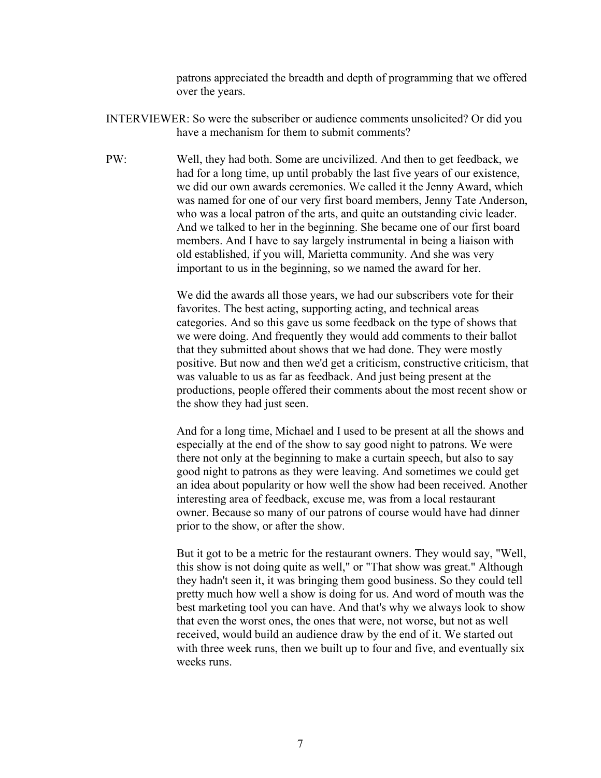patrons appreciated the breadth and depth of programming that we offered over the years.

- INTERVIEWER: So were the subscriber or audience comments unsolicited? Or did you have a mechanism for them to submit comments?
- PW: Well, they had both. Some are uncivilized. And then to get feedback, we had for a long time, up until probably the last five years of our existence, we did our own awards ceremonies. We called it the Jenny Award, which was named for one of our very first board members, Jenny Tate Anderson, who was a local patron of the arts, and quite an outstanding civic leader. And we talked to her in the beginning. She became one of our first board members. And I have to say largely instrumental in being a liaison with old established, if you will, Marietta community. And she was very important to us in the beginning, so we named the award for her.

We did the awards all those years, we had our subscribers vote for their favorites. The best acting, supporting acting, and technical areas categories. And so this gave us some feedback on the type of shows that we were doing. And frequently they would add comments to their ballot that they submitted about shows that we had done. They were mostly positive. But now and then we'd get a criticism, constructive criticism, that was valuable to us as far as feedback. And just being present at the productions, people offered their comments about the most recent show or the show they had just seen.

And for a long time, Michael and I used to be present at all the shows and especially at the end of the show to say good night to patrons. We were there not only at the beginning to make a curtain speech, but also to say good night to patrons as they were leaving. And sometimes we could get an idea about popularity or how well the show had been received. Another interesting area of feedback, excuse me, was from a local restaurant owner. Because so many of our patrons of course would have had dinner prior to the show, or after the show.

But it got to be a metric for the restaurant owners. They would say, "Well, this show is not doing quite as well," or "That show was great." Although they hadn't seen it, it was bringing them good business. So they could tell pretty much how well a show is doing for us. And word of mouth was the best marketing tool you can have. And that's why we always look to show that even the worst ones, the ones that were, not worse, but not as well received, would build an audience draw by the end of it. We started out with three week runs, then we built up to four and five, and eventually six weeks runs.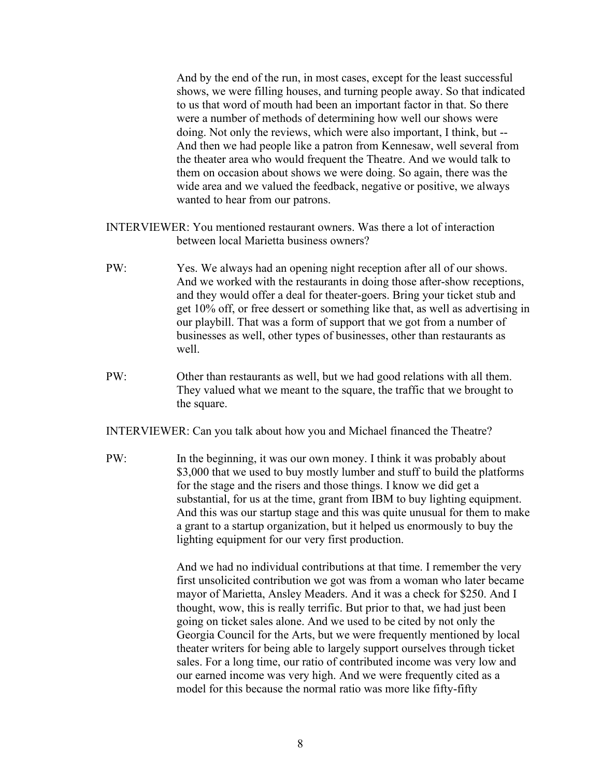And by the end of the run, in most cases, except for the least successful shows, we were filling houses, and turning people away. So that indicated to us that word of mouth had been an important factor in that. So there were a number of methods of determining how well our shows were doing. Not only the reviews, which were also important, I think, but -- And then we had people like a patron from Kennesaw, well several from the theater area who would frequent the Theatre. And we would talk to them on occasion about shows we were doing. So again, there was the wide area and we valued the feedback, negative or positive, we always wanted to hear from our patrons.

- INTERVIEWER: You mentioned restaurant owners. Was there a lot of interaction between local Marietta business owners?
- PW: Yes. We always had an opening night reception after all of our shows. And we worked with the restaurants in doing those after-show receptions, and they would offer a deal for theater-goers. Bring your ticket stub and get 10% off, or free dessert or something like that, as well as advertising in our playbill. That was a form of support that we got from a number of businesses as well, other types of businesses, other than restaurants as well.
- PW: Other than restaurants as well, but we had good relations with all them. They valued what we meant to the square, the traffic that we brought to the square.

INTERVIEWER: Can you talk about how you and Michael financed the Theatre?

PW: In the beginning, it was our own money. I think it was probably about \$3,000 that we used to buy mostly lumber and stuff to build the platforms for the stage and the risers and those things. I know we did get a substantial, for us at the time, grant from IBM to buy lighting equipment. And this was our startup stage and this was quite unusual for them to make a grant to a startup organization, but it helped us enormously to buy the lighting equipment for our very first production.

> And we had no individual contributions at that time. I remember the very first unsolicited contribution we got was from a woman who later became mayor of Marietta, Ansley Meaders. And it was a check for \$250. And I thought, wow, this is really terrific. But prior to that, we had just been going on ticket sales alone. And we used to be cited by not only the Georgia Council for the Arts, but we were frequently mentioned by local theater writers for being able to largely support ourselves through ticket sales. For a long time, our ratio of contributed income was very low and our earned income was very high. And we were frequently cited as a model for this because the normal ratio was more like fifty-fifty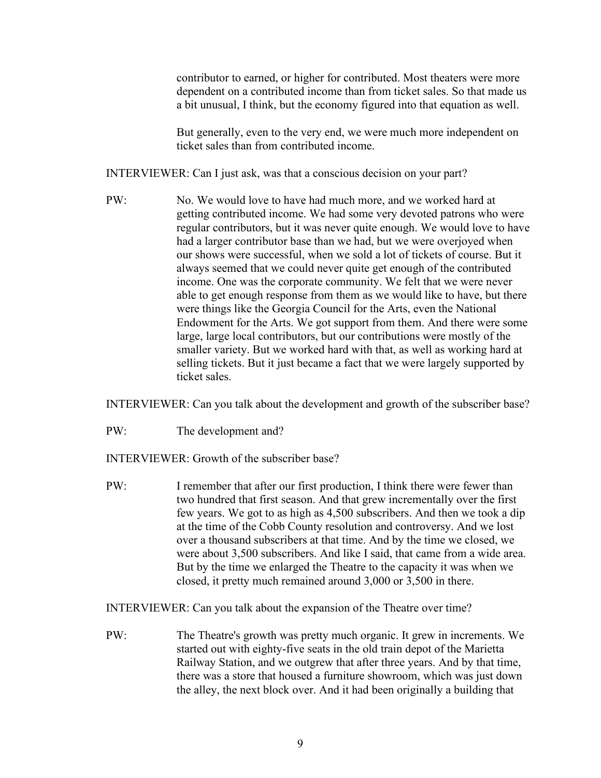contributor to earned, or higher for contributed. Most theaters were more dependent on a contributed income than from ticket sales. So that made us a bit unusual, I think, but the economy figured into that equation as well.

But generally, even to the very end, we were much more independent on ticket sales than from contributed income.

INTERVIEWER: Can I just ask, was that a conscious decision on your part?

PW: No. We would love to have had much more, and we worked hard at getting contributed income. We had some very devoted patrons who were regular contributors, but it was never quite enough. We would love to have had a larger contributor base than we had, but we were overjoyed when our shows were successful, when we sold a lot of tickets of course. But it always seemed that we could never quite get enough of the contributed income. One was the corporate community. We felt that we were never able to get enough response from them as we would like to have, but there were things like the Georgia Council for the Arts, even the National Endowment for the Arts. We got support from them. And there were some large, large local contributors, but our contributions were mostly of the smaller variety. But we worked hard with that, as well as working hard at selling tickets. But it just became a fact that we were largely supported by ticket sales.

INTERVIEWER: Can you talk about the development and growth of the subscriber base?

PW: The development and?

INTERVIEWER: Growth of the subscriber base?

PW: I remember that after our first production, I think there were fewer than two hundred that first season. And that grew incrementally over the first few years. We got to as high as 4,500 subscribers. And then we took a dip at the time of the Cobb County resolution and controversy. And we lost over a thousand subscribers at that time. And by the time we closed, we were about 3,500 subscribers. And like I said, that came from a wide area. But by the time we enlarged the Theatre to the capacity it was when we closed, it pretty much remained around 3,000 or 3,500 in there.

INTERVIEWER: Can you talk about the expansion of the Theatre over time?

PW: The Theatre's growth was pretty much organic. It grew in increments. We started out with eighty-five seats in the old train depot of the Marietta Railway Station, and we outgrew that after three years. And by that time, there was a store that housed a furniture showroom, which was just down the alley, the next block over. And it had been originally a building that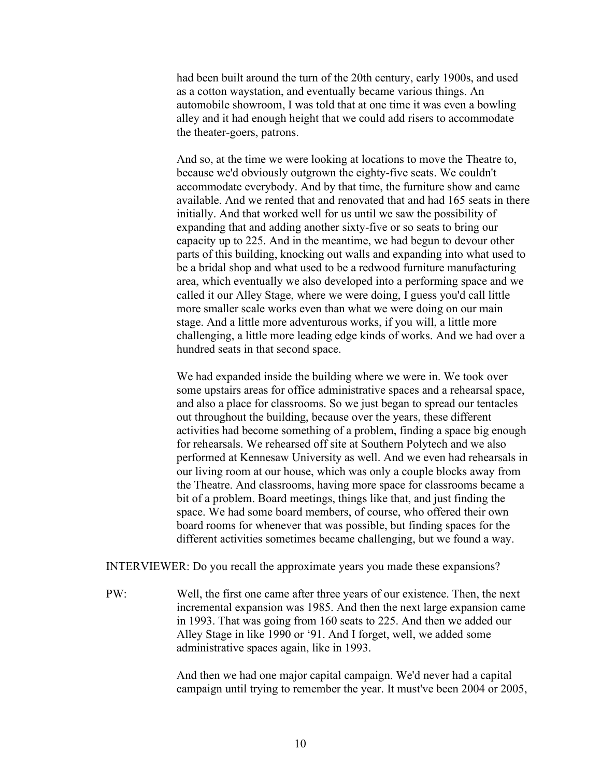had been built around the turn of the 20th century, early 1900s, and used as a cotton waystation, and eventually became various things. An automobile showroom, I was told that at one time it was even a bowling alley and it had enough height that we could add risers to accommodate the theater-goers, patrons.

And so, at the time we were looking at locations to move the Theatre to, because we'd obviously outgrown the eighty-five seats. We couldn't accommodate everybody. And by that time, the furniture show and came available. And we rented that and renovated that and had 165 seats in there initially. And that worked well for us until we saw the possibility of expanding that and adding another sixty-five or so seats to bring our capacity up to 225. And in the meantime, we had begun to devour other parts of this building, knocking out walls and expanding into what used to be a bridal shop and what used to be a redwood furniture manufacturing area, which eventually we also developed into a performing space and we called it our Alley Stage, where we were doing, I guess you'd call little more smaller scale works even than what we were doing on our main stage. And a little more adventurous works, if you will, a little more challenging, a little more leading edge kinds of works. And we had over a hundred seats in that second space.

We had expanded inside the building where we were in. We took over some upstairs areas for office administrative spaces and a rehearsal space, and also a place for classrooms. So we just began to spread our tentacles out throughout the building, because over the years, these different activities had become something of a problem, finding a space big enough for rehearsals. We rehearsed off site at Southern Polytech and we also performed at Kennesaw University as well. And we even had rehearsals in our living room at our house, which was only a couple blocks away from the Theatre. And classrooms, having more space for classrooms became a bit of a problem. Board meetings, things like that, and just finding the space. We had some board members, of course, who offered their own board rooms for whenever that was possible, but finding spaces for the different activities sometimes became challenging, but we found a way.

INTERVIEWER: Do you recall the approximate years you made these expansions?

PW: Well, the first one came after three years of our existence. Then, the next incremental expansion was 1985. And then the next large expansion came in 1993. That was going from 160 seats to 225. And then we added our Alley Stage in like 1990 or '91. And I forget, well, we added some administrative spaces again, like in 1993.

> And then we had one major capital campaign. We'd never had a capital campaign until trying to remember the year. It must've been 2004 or 2005,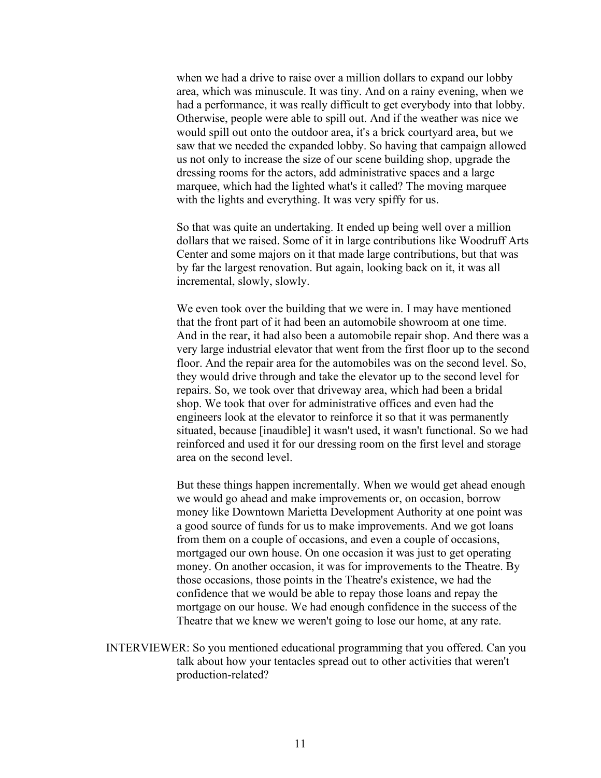when we had a drive to raise over a million dollars to expand our lobby area, which was minuscule. It was tiny. And on a rainy evening, when we had a performance, it was really difficult to get everybody into that lobby. Otherwise, people were able to spill out. And if the weather was nice we would spill out onto the outdoor area, it's a brick courtyard area, but we saw that we needed the expanded lobby. So having that campaign allowed us not only to increase the size of our scene building shop, upgrade the dressing rooms for the actors, add administrative spaces and a large marquee, which had the lighted what's it called? The moving marquee with the lights and everything. It was very spiffy for us.

So that was quite an undertaking. It ended up being well over a million dollars that we raised. Some of it in large contributions like Woodruff Arts Center and some majors on it that made large contributions, but that was by far the largest renovation. But again, looking back on it, it was all incremental, slowly, slowly.

We even took over the building that we were in. I may have mentioned that the front part of it had been an automobile showroom at one time. And in the rear, it had also been a automobile repair shop. And there was a very large industrial elevator that went from the first floor up to the second floor. And the repair area for the automobiles was on the second level. So, they would drive through and take the elevator up to the second level for repairs. So, we took over that driveway area, which had been a bridal shop. We took that over for administrative offices and even had the engineers look at the elevator to reinforce it so that it was permanently situated, because [inaudible] it wasn't used, it wasn't functional. So we had reinforced and used it for our dressing room on the first level and storage area on the second level.

But these things happen incrementally. When we would get ahead enough we would go ahead and make improvements or, on occasion, borrow money like Downtown Marietta Development Authority at one point was a good source of funds for us to make improvements. And we got loans from them on a couple of occasions, and even a couple of occasions, mortgaged our own house. On one occasion it was just to get operating money. On another occasion, it was for improvements to the Theatre. By those occasions, those points in the Theatre's existence, we had the confidence that we would be able to repay those loans and repay the mortgage on our house. We had enough confidence in the success of the Theatre that we knew we weren't going to lose our home, at any rate.

INTERVIEWER: So you mentioned educational programming that you offered. Can you talk about how your tentacles spread out to other activities that weren't production-related?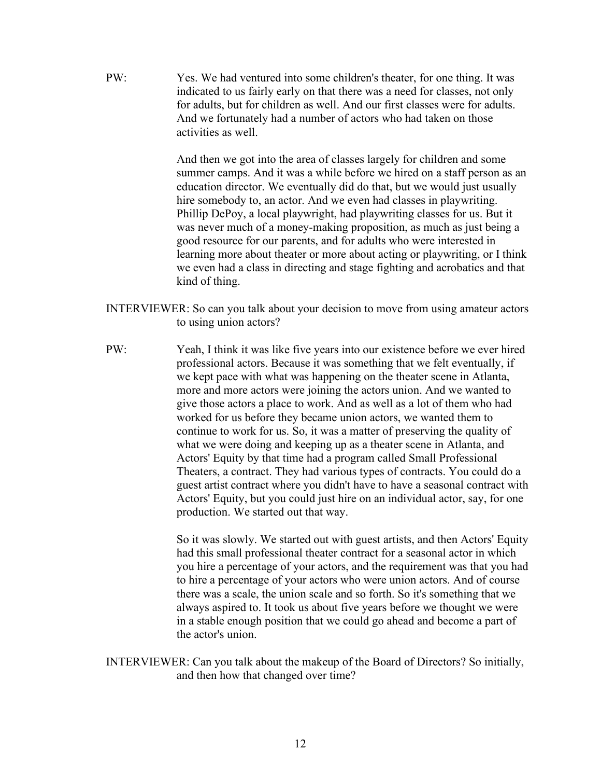PW: Yes. We had ventured into some children's theater, for one thing. It was indicated to us fairly early on that there was a need for classes, not only for adults, but for children as well. And our first classes were for adults. And we fortunately had a number of actors who had taken on those activities as well.

> And then we got into the area of classes largely for children and some summer camps. And it was a while before we hired on a staff person as an education director. We eventually did do that, but we would just usually hire somebody to, an actor. And we even had classes in playwriting. Phillip DePoy, a local playwright, had playwriting classes for us. But it was never much of a money-making proposition, as much as just being a good resource for our parents, and for adults who were interested in learning more about theater or more about acting or playwriting, or I think we even had a class in directing and stage fighting and acrobatics and that kind of thing.

- INTERVIEWER: So can you talk about your decision to move from using amateur actors to using union actors?
- PW: Yeah, I think it was like five years into our existence before we ever hired professional actors. Because it was something that we felt eventually, if we kept pace with what was happening on the theater scene in Atlanta, more and more actors were joining the actors union. And we wanted to give those actors a place to work. And as well as a lot of them who had worked for us before they became union actors, we wanted them to continue to work for us. So, it was a matter of preserving the quality of what we were doing and keeping up as a theater scene in Atlanta, and Actors' Equity by that time had a program called Small Professional Theaters, a contract. They had various types of contracts. You could do a guest artist contract where you didn't have to have a seasonal contract with Actors' Equity, but you could just hire on an individual actor, say, for one production. We started out that way.

So it was slowly. We started out with guest artists, and then Actors' Equity had this small professional theater contract for a seasonal actor in which you hire a percentage of your actors, and the requirement was that you had to hire a percentage of your actors who were union actors. And of course there was a scale, the union scale and so forth. So it's something that we always aspired to. It took us about five years before we thought we were in a stable enough position that we could go ahead and become a part of the actor's union.

INTERVIEWER: Can you talk about the makeup of the Board of Directors? So initially, and then how that changed over time?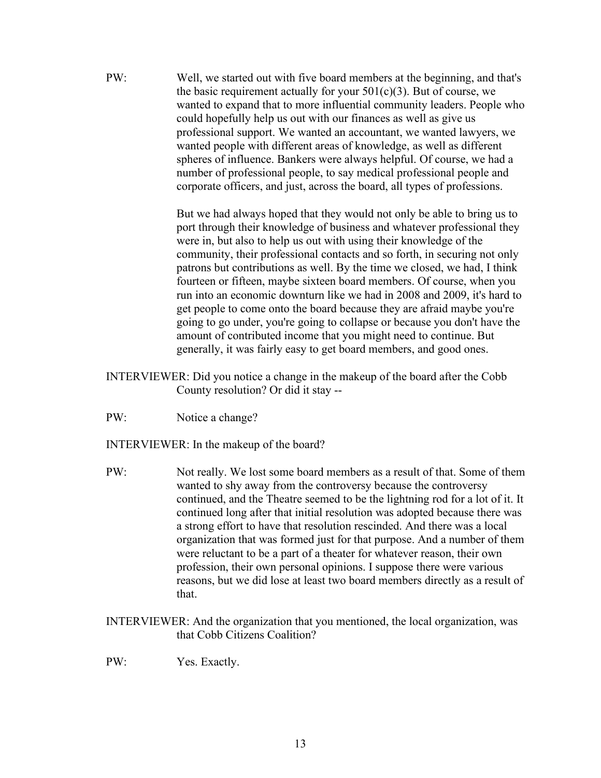PW: Well, we started out with five board members at the beginning, and that's the basic requirement actually for your  $501(c)(3)$ . But of course, we wanted to expand that to more influential community leaders. People who could hopefully help us out with our finances as well as give us professional support. We wanted an accountant, we wanted lawyers, we wanted people with different areas of knowledge, as well as different spheres of influence. Bankers were always helpful. Of course, we had a number of professional people, to say medical professional people and corporate officers, and just, across the board, all types of professions.

> But we had always hoped that they would not only be able to bring us to port through their knowledge of business and whatever professional they were in, but also to help us out with using their knowledge of the community, their professional contacts and so forth, in securing not only patrons but contributions as well. By the time we closed, we had, I think fourteen or fifteen, maybe sixteen board members. Of course, when you run into an economic downturn like we had in 2008 and 2009, it's hard to get people to come onto the board because they are afraid maybe you're going to go under, you're going to collapse or because you don't have the amount of contributed income that you might need to continue. But generally, it was fairly easy to get board members, and good ones.

- INTERVIEWER: Did you notice a change in the makeup of the board after the Cobb County resolution? Or did it stay --
- PW: Notice a change?
- INTERVIEWER: In the makeup of the board?
- PW: Not really. We lost some board members as a result of that. Some of them wanted to shy away from the controversy because the controversy continued, and the Theatre seemed to be the lightning rod for a lot of it. It continued long after that initial resolution was adopted because there was a strong effort to have that resolution rescinded. And there was a local organization that was formed just for that purpose. And a number of them were reluctant to be a part of a theater for whatever reason, their own profession, their own personal opinions. I suppose there were various reasons, but we did lose at least two board members directly as a result of that.
- INTERVIEWER: And the organization that you mentioned, the local organization, was that Cobb Citizens Coalition?
- PW: Yes. Exactly.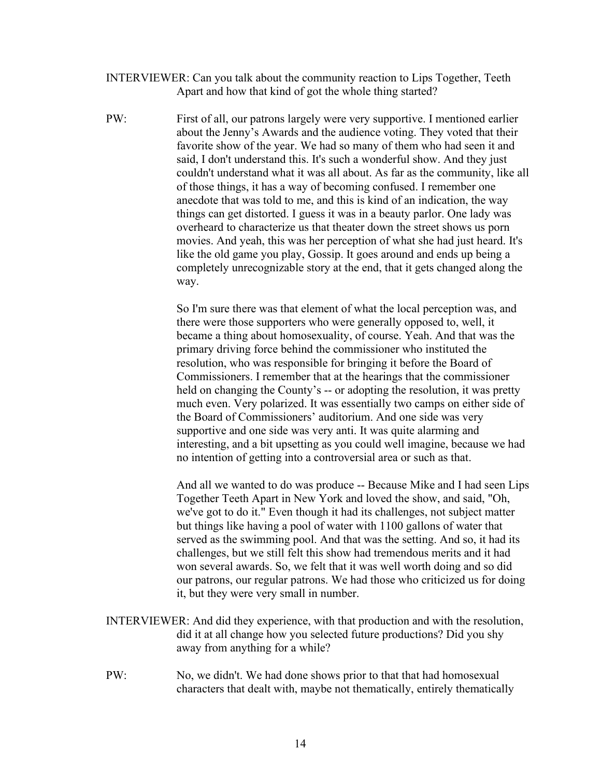- INTERVIEWER: Can you talk about the community reaction to Lips Together, Teeth Apart and how that kind of got the whole thing started?
- PW: First of all, our patrons largely were very supportive. I mentioned earlier about the Jenny's Awards and the audience voting. They voted that their favorite show of the year. We had so many of them who had seen it and said, I don't understand this. It's such a wonderful show. And they just couldn't understand what it was all about. As far as the community, like all of those things, it has a way of becoming confused. I remember one anecdote that was told to me, and this is kind of an indication, the way things can get distorted. I guess it was in a beauty parlor. One lady was overheard to characterize us that theater down the street shows us porn movies. And yeah, this was her perception of what she had just heard. It's like the old game you play, Gossip. It goes around and ends up being a completely unrecognizable story at the end, that it gets changed along the way.

So I'm sure there was that element of what the local perception was, and there were those supporters who were generally opposed to, well, it became a thing about homosexuality, of course. Yeah. And that was the primary driving force behind the commissioner who instituted the resolution, who was responsible for bringing it before the Board of Commissioners. I remember that at the hearings that the commissioner held on changing the County's -- or adopting the resolution, it was pretty much even. Very polarized. It was essentially two camps on either side of the Board of Commissioners' auditorium. And one side was very supportive and one side was very anti. It was quite alarming and interesting, and a bit upsetting as you could well imagine, because we had no intention of getting into a controversial area or such as that.

And all we wanted to do was produce -- Because Mike and I had seen Lips Together Teeth Apart in New York and loved the show, and said, "Oh, we've got to do it." Even though it had its challenges, not subject matter but things like having a pool of water with 1100 gallons of water that served as the swimming pool. And that was the setting. And so, it had its challenges, but we still felt this show had tremendous merits and it had won several awards. So, we felt that it was well worth doing and so did our patrons, our regular patrons. We had those who criticized us for doing it, but they were very small in number.

- INTERVIEWER: And did they experience, with that production and with the resolution, did it at all change how you selected future productions? Did you shy away from anything for a while?
- PW: No, we didn't. We had done shows prior to that that had homosexual characters that dealt with, maybe not thematically, entirely thematically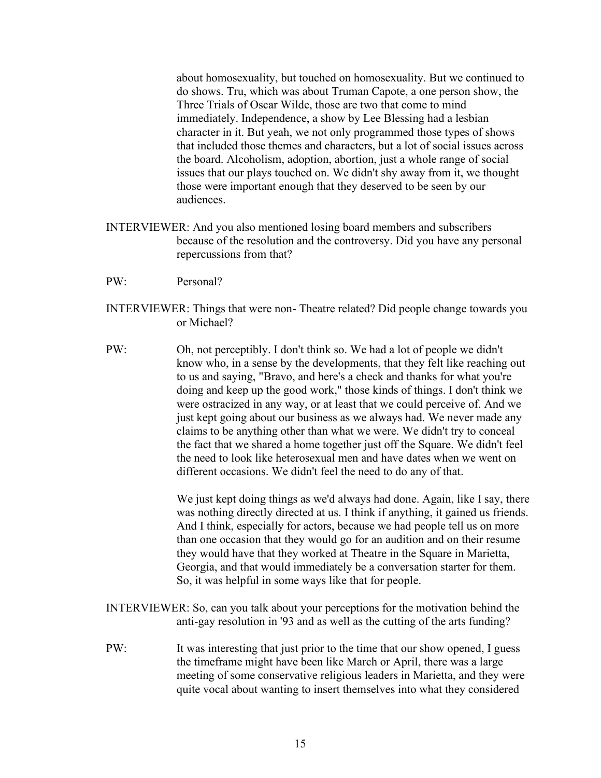about homosexuality, but touched on homosexuality. But we continued to do shows. Tru, which was about Truman Capote, a one person show, the Three Trials of Oscar Wilde, those are two that come to mind immediately. Independence, a show by Lee Blessing had a lesbian character in it. But yeah, we not only programmed those types of shows that included those themes and characters, but a lot of social issues across the board. Alcoholism, adoption, abortion, just a whole range of social issues that our plays touched on. We didn't shy away from it, we thought those were important enough that they deserved to be seen by our audiences.

- INTERVIEWER: And you also mentioned losing board members and subscribers because of the resolution and the controversy. Did you have any personal repercussions from that?
- PW: Personal?
- INTERVIEWER: Things that were non- Theatre related? Did people change towards you or Michael?
- PW: Oh, not perceptibly. I don't think so. We had a lot of people we didn't know who, in a sense by the developments, that they felt like reaching out to us and saying, "Bravo, and here's a check and thanks for what you're doing and keep up the good work," those kinds of things. I don't think we were ostracized in any way, or at least that we could perceive of. And we just kept going about our business as we always had. We never made any claims to be anything other than what we were. We didn't try to conceal the fact that we shared a home together just off the Square. We didn't feel the need to look like heterosexual men and have dates when we went on different occasions. We didn't feel the need to do any of that.

We just kept doing things as we'd always had done. Again, like I say, there was nothing directly directed at us. I think if anything, it gained us friends. And I think, especially for actors, because we had people tell us on more than one occasion that they would go for an audition and on their resume they would have that they worked at Theatre in the Square in Marietta, Georgia, and that would immediately be a conversation starter for them. So, it was helpful in some ways like that for people.

- INTERVIEWER: So, can you talk about your perceptions for the motivation behind the anti-gay resolution in '93 and as well as the cutting of the arts funding?
- PW: It was interesting that just prior to the time that our show opened, I guess the timeframe might have been like March or April, there was a large meeting of some conservative religious leaders in Marietta, and they were quite vocal about wanting to insert themselves into what they considered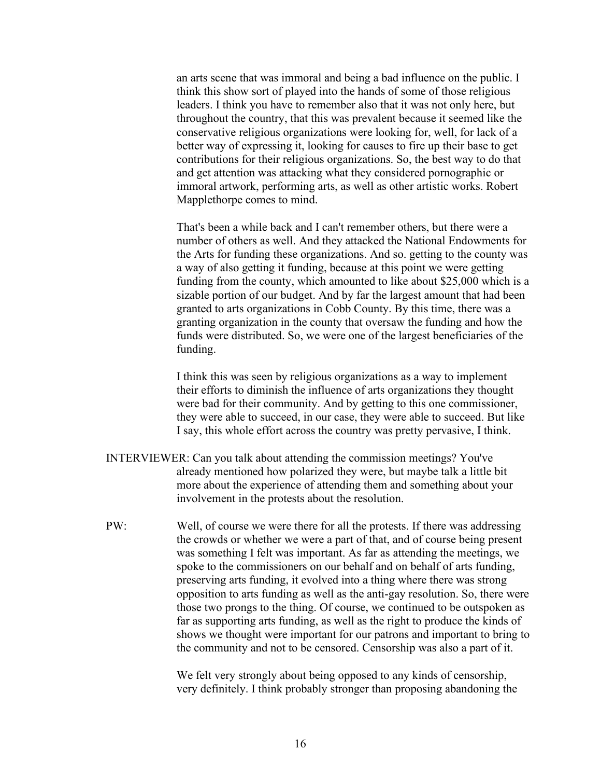an arts scene that was immoral and being a bad influence on the public. I think this show sort of played into the hands of some of those religious leaders. I think you have to remember also that it was not only here, but throughout the country, that this was prevalent because it seemed like the conservative religious organizations were looking for, well, for lack of a better way of expressing it, looking for causes to fire up their base to get contributions for their religious organizations. So, the best way to do that and get attention was attacking what they considered pornographic or immoral artwork, performing arts, as well as other artistic works. Robert Mapplethorpe comes to mind.

That's been a while back and I can't remember others, but there were a number of others as well. And they attacked the National Endowments for the Arts for funding these organizations. And so. getting to the county was a way of also getting it funding, because at this point we were getting funding from the county, which amounted to like about \$25,000 which is a sizable portion of our budget. And by far the largest amount that had been granted to arts organizations in Cobb County. By this time, there was a granting organization in the county that oversaw the funding and how the funds were distributed. So, we were one of the largest beneficiaries of the funding.

I think this was seen by religious organizations as a way to implement their efforts to diminish the influence of arts organizations they thought were bad for their community. And by getting to this one commissioner, they were able to succeed, in our case, they were able to succeed. But like I say, this whole effort across the country was pretty pervasive, I think.

- INTERVIEWER: Can you talk about attending the commission meetings? You've already mentioned how polarized they were, but maybe talk a little bit more about the experience of attending them and something about your involvement in the protests about the resolution.
- PW: Well, of course we were there for all the protests. If there was addressing the crowds or whether we were a part of that, and of course being present was something I felt was important. As far as attending the meetings, we spoke to the commissioners on our behalf and on behalf of arts funding, preserving arts funding, it evolved into a thing where there was strong opposition to arts funding as well as the anti-gay resolution. So, there were those two prongs to the thing. Of course, we continued to be outspoken as far as supporting arts funding, as well as the right to produce the kinds of shows we thought were important for our patrons and important to bring to the community and not to be censored. Censorship was also a part of it.

We felt very strongly about being opposed to any kinds of censorship, very definitely. I think probably stronger than proposing abandoning the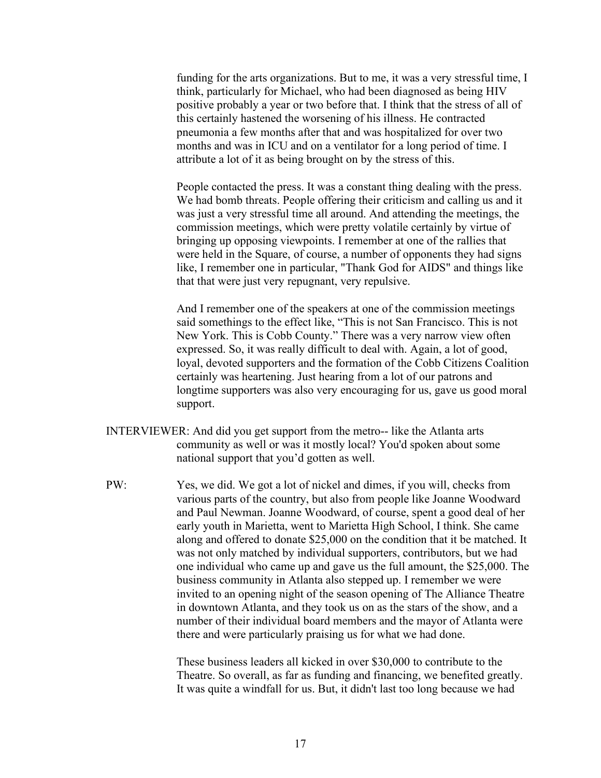funding for the arts organizations. But to me, it was a very stressful time, I think, particularly for Michael, who had been diagnosed as being HIV positive probably a year or two before that. I think that the stress of all of this certainly hastened the worsening of his illness. He contracted pneumonia a few months after that and was hospitalized for over two months and was in ICU and on a ventilator for a long period of time. I attribute a lot of it as being brought on by the stress of this.

People contacted the press. It was a constant thing dealing with the press. We had bomb threats. People offering their criticism and calling us and it was just a very stressful time all around. And attending the meetings, the commission meetings, which were pretty volatile certainly by virtue of bringing up opposing viewpoints. I remember at one of the rallies that were held in the Square, of course, a number of opponents they had signs like, I remember one in particular, "Thank God for AIDS" and things like that that were just very repugnant, very repulsive.

And I remember one of the speakers at one of the commission meetings said somethings to the effect like, "This is not San Francisco. This is not New York. This is Cobb County." There was a very narrow view often expressed. So, it was really difficult to deal with. Again, a lot of good, loyal, devoted supporters and the formation of the Cobb Citizens Coalition certainly was heartening. Just hearing from a lot of our patrons and longtime supporters was also very encouraging for us, gave us good moral support.

- INTERVIEWER: And did you get support from the metro-- like the Atlanta arts community as well or was it mostly local? You'd spoken about some national support that you'd gotten as well.
- PW: Yes, we did. We got a lot of nickel and dimes, if you will, checks from various parts of the country, but also from people like Joanne Woodward and Paul Newman. Joanne Woodward, of course, spent a good deal of her early youth in Marietta, went to Marietta High School, I think. She came along and offered to donate \$25,000 on the condition that it be matched. It was not only matched by individual supporters, contributors, but we had one individual who came up and gave us the full amount, the \$25,000. The business community in Atlanta also stepped up. I remember we were invited to an opening night of the season opening of The Alliance Theatre in downtown Atlanta, and they took us on as the stars of the show, and a number of their individual board members and the mayor of Atlanta were there and were particularly praising us for what we had done.

These business leaders all kicked in over \$30,000 to contribute to the Theatre. So overall, as far as funding and financing, we benefited greatly. It was quite a windfall for us. But, it didn't last too long because we had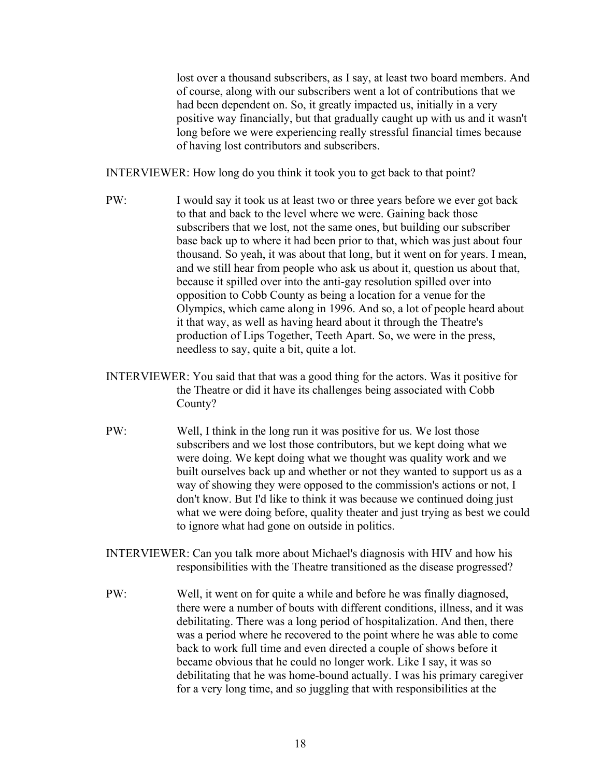lost over a thousand subscribers, as I say, at least two board members. And of course, along with our subscribers went a lot of contributions that we had been dependent on. So, it greatly impacted us, initially in a very positive way financially, but that gradually caught up with us and it wasn't long before we were experiencing really stressful financial times because of having lost contributors and subscribers.

INTERVIEWER: How long do you think it took you to get back to that point?

- PW: I would say it took us at least two or three years before we ever got back to that and back to the level where we were. Gaining back those subscribers that we lost, not the same ones, but building our subscriber base back up to where it had been prior to that, which was just about four thousand. So yeah, it was about that long, but it went on for years. I mean, and we still hear from people who ask us about it, question us about that, because it spilled over into the anti-gay resolution spilled over into opposition to Cobb County as being a location for a venue for the Olympics, which came along in 1996. And so, a lot of people heard about it that way, as well as having heard about it through the Theatre's production of Lips Together, Teeth Apart. So, we were in the press, needless to say, quite a bit, quite a lot.
- INTERVIEWER: You said that that was a good thing for the actors. Was it positive for the Theatre or did it have its challenges being associated with Cobb County?
- PW: Well, I think in the long run it was positive for us. We lost those subscribers and we lost those contributors, but we kept doing what we were doing. We kept doing what we thought was quality work and we built ourselves back up and whether or not they wanted to support us as a way of showing they were opposed to the commission's actions or not, I don't know. But I'd like to think it was because we continued doing just what we were doing before, quality theater and just trying as best we could to ignore what had gone on outside in politics.
- INTERVIEWER: Can you talk more about Michael's diagnosis with HIV and how his responsibilities with the Theatre transitioned as the disease progressed?
- PW: Well, it went on for quite a while and before he was finally diagnosed, there were a number of bouts with different conditions, illness, and it was debilitating. There was a long period of hospitalization. And then, there was a period where he recovered to the point where he was able to come back to work full time and even directed a couple of shows before it became obvious that he could no longer work. Like I say, it was so debilitating that he was home-bound actually. I was his primary caregiver for a very long time, and so juggling that with responsibilities at the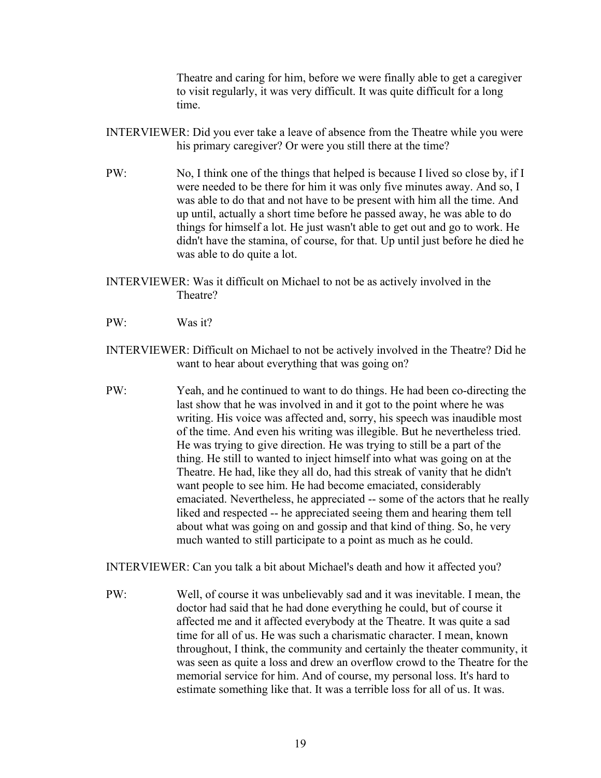Theatre and caring for him, before we were finally able to get a caregiver to visit regularly, it was very difficult. It was quite difficult for a long time.

- INTERVIEWER: Did you ever take a leave of absence from the Theatre while you were his primary caregiver? Or were you still there at the time?
- PW: No, I think one of the things that helped is because I lived so close by, if I were needed to be there for him it was only five minutes away. And so, I was able to do that and not have to be present with him all the time. And up until, actually a short time before he passed away, he was able to do things for himself a lot. He just wasn't able to get out and go to work. He didn't have the stamina, of course, for that. Up until just before he died he was able to do quite a lot.
- INTERVIEWER: Was it difficult on Michael to not be as actively involved in the Theatre?
- PW: Was it?
- INTERVIEWER: Difficult on Michael to not be actively involved in the Theatre? Did he want to hear about everything that was going on?
- PW: Yeah, and he continued to want to do things. He had been co-directing the last show that he was involved in and it got to the point where he was writing. His voice was affected and, sorry, his speech was inaudible most of the time. And even his writing was illegible. But he nevertheless tried. He was trying to give direction. He was trying to still be a part of the thing. He still to wanted to inject himself into what was going on at the Theatre. He had, like they all do, had this streak of vanity that he didn't want people to see him. He had become emaciated, considerably emaciated. Nevertheless, he appreciated -- some of the actors that he really liked and respected -- he appreciated seeing them and hearing them tell about what was going on and gossip and that kind of thing. So, he very much wanted to still participate to a point as much as he could.

INTERVIEWER: Can you talk a bit about Michael's death and how it affected you?

PW: Well, of course it was unbelievably sad and it was inevitable. I mean, the doctor had said that he had done everything he could, but of course it affected me and it affected everybody at the Theatre. It was quite a sad time for all of us. He was such a charismatic character. I mean, known throughout, I think, the community and certainly the theater community, it was seen as quite a loss and drew an overflow crowd to the Theatre for the memorial service for him. And of course, my personal loss. It's hard to estimate something like that. It was a terrible loss for all of us. It was.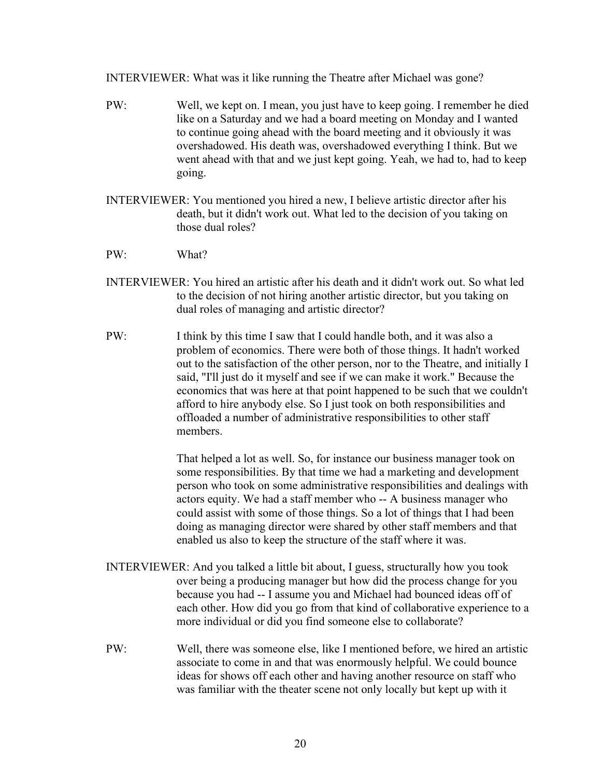INTERVIEWER: What was it like running the Theatre after Michael was gone?

- PW: Well, we kept on. I mean, you just have to keep going. I remember he died like on a Saturday and we had a board meeting on Monday and I wanted to continue going ahead with the board meeting and it obviously it was overshadowed. His death was, overshadowed everything I think. But we went ahead with that and we just kept going. Yeah, we had to, had to keep going.
- INTERVIEWER: You mentioned you hired a new, I believe artistic director after his death, but it didn't work out. What led to the decision of you taking on those dual roles?
- PW: What?
- INTERVIEWER: You hired an artistic after his death and it didn't work out. So what led to the decision of not hiring another artistic director, but you taking on dual roles of managing and artistic director?
- PW: I think by this time I saw that I could handle both, and it was also a problem of economics. There were both of those things. It hadn't worked out to the satisfaction of the other person, nor to the Theatre, and initially I said, "I'll just do it myself and see if we can make it work." Because the economics that was here at that point happened to be such that we couldn't afford to hire anybody else. So I just took on both responsibilities and offloaded a number of administrative responsibilities to other staff members.

That helped a lot as well. So, for instance our business manager took on some responsibilities. By that time we had a marketing and development person who took on some administrative responsibilities and dealings with actors equity. We had a staff member who -- A business manager who could assist with some of those things. So a lot of things that I had been doing as managing director were shared by other staff members and that enabled us also to keep the structure of the staff where it was.

- INTERVIEWER: And you talked a little bit about, I guess, structurally how you took over being a producing manager but how did the process change for you because you had -- I assume you and Michael had bounced ideas off of each other. How did you go from that kind of collaborative experience to a more individual or did you find someone else to collaborate?
- PW: Well, there was someone else, like I mentioned before, we hired an artistic associate to come in and that was enormously helpful. We could bounce ideas for shows off each other and having another resource on staff who was familiar with the theater scene not only locally but kept up with it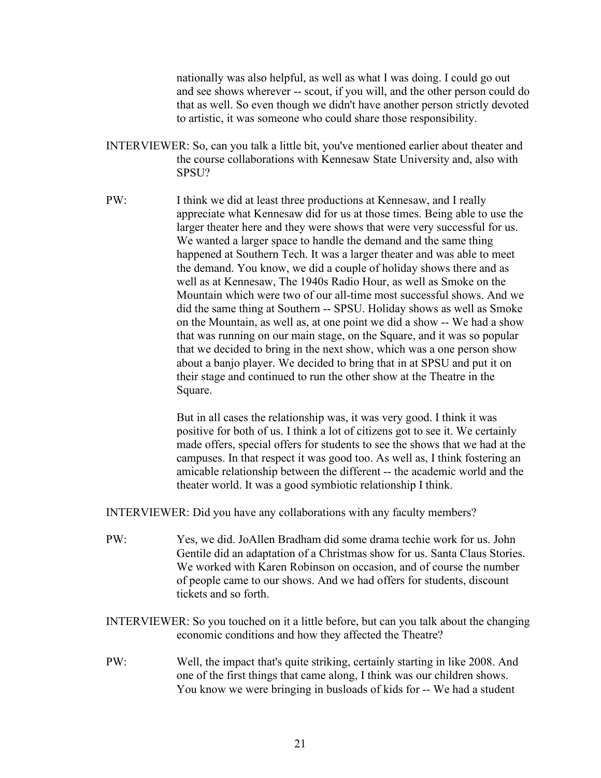nationally was also helpful, as well as what I was doing. I could go out and see shows wherever -- scout, if you will, and the other person could do that as well. So even though we didn't have another person strictly devoted to artistic, it was someone who could share those responsibility.

- INTERVIEWER: So, can you talk a little bit, you've mentioned earlier about theater and the course collaborations with Kennesaw State University and, also with SPSU?
- PW: I think we did at least three productions at Kennesaw, and I really appreciate what Kennesaw did for us at those times. Being able to use the larger theater here and they were shows that were very successful for us. We wanted a larger space to handle the demand and the same thing happened at Southern Tech. It was a larger theater and was able to meet the demand. You know, we did a couple of holiday shows there and as well as at Kennesaw, The 1940s Radio Hour, as well as Smoke on the Mountain which were two of our all-time most successful shows. And we did the same thing at Southern -- SPSU. Holiday shows as well as Smoke on the Mountain, as well as, at one point we did a show -- We had a show that was running on our main stage, on the Square, and it was so popular that we decided to bring in the next show, which was a one person show about a banjo player. We decided to bring that in at SPSU and put it on their stage and continued to run the other show at the Theatre in the Square.

But in all cases the relationship was, it was very good. I think it was positive for both of us. I think a lot of citizens got to see it. We certainly made offers, special offers for students to see the shows that we had at the campuses. In that respect it was good too. As well as, I think fostering an amicable relationship between the different -- the academic world and the theater world. It was a good symbiotic relationship I think.

INTERVIEWER: Did you have any collaborations with any faculty members?

- PW: Yes, we did. JoAllen Bradham did some drama techie work for us. John Gentile did an adaptation of a Christmas show for us. Santa Claus Stories. We worked with Karen Robinson on occasion, and of course the number of people came to our shows. And we had offers for students, discount tickets and so forth.
- INTERVIEWER: So you touched on it a little before, but can you talk about the changing economic conditions and how they affected the Theatre?
- PW: Well, the impact that's quite striking, certainly starting in like 2008. And one of the first things that came along, I think was our children shows. You know we were bringing in busloads of kids for -- We had a student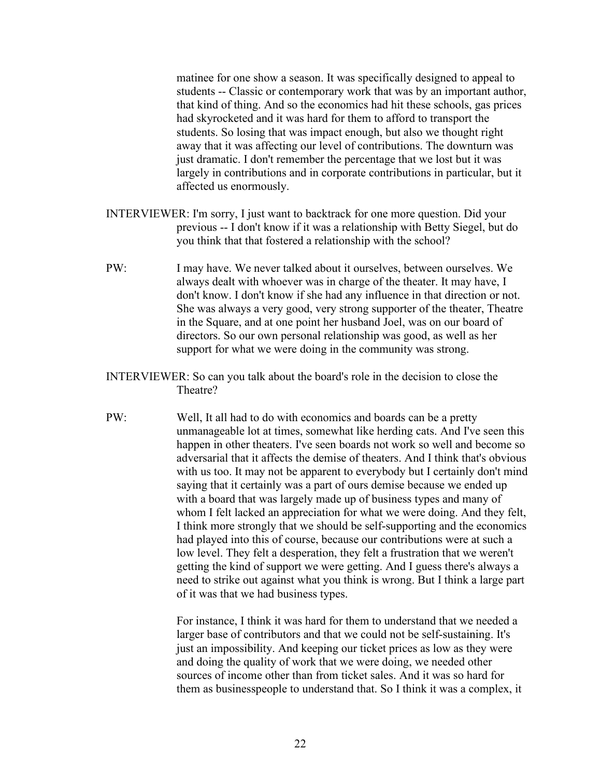matinee for one show a season. It was specifically designed to appeal to students -- Classic or contemporary work that was by an important author, that kind of thing. And so the economics had hit these schools, gas prices had skyrocketed and it was hard for them to afford to transport the students. So losing that was impact enough, but also we thought right away that it was affecting our level of contributions. The downturn was just dramatic. I don't remember the percentage that we lost but it was largely in contributions and in corporate contributions in particular, but it affected us enormously.

- INTERVIEWER: I'm sorry, I just want to backtrack for one more question. Did your previous -- I don't know if it was a relationship with Betty Siegel, but do you think that that fostered a relationship with the school?
- PW: I may have. We never talked about it ourselves, between ourselves. We always dealt with whoever was in charge of the theater. It may have, I don't know. I don't know if she had any influence in that direction or not. She was always a very good, very strong supporter of the theater, Theatre in the Square, and at one point her husband Joel, was on our board of directors. So our own personal relationship was good, as well as her support for what we were doing in the community was strong.
- INTERVIEWER: So can you talk about the board's role in the decision to close the Theatre?
- PW: Well, It all had to do with economics and boards can be a pretty unmanageable lot at times, somewhat like herding cats. And I've seen this happen in other theaters. I've seen boards not work so well and become so adversarial that it affects the demise of theaters. And I think that's obvious with us too. It may not be apparent to everybody but I certainly don't mind saying that it certainly was a part of ours demise because we ended up with a board that was largely made up of business types and many of whom I felt lacked an appreciation for what we were doing. And they felt, I think more strongly that we should be self-supporting and the economics had played into this of course, because our contributions were at such a low level. They felt a desperation, they felt a frustration that we weren't getting the kind of support we were getting. And I guess there's always a need to strike out against what you think is wrong. But I think a large part of it was that we had business types.

For instance, I think it was hard for them to understand that we needed a larger base of contributors and that we could not be self-sustaining. It's just an impossibility. And keeping our ticket prices as low as they were and doing the quality of work that we were doing, we needed other sources of income other than from ticket sales. And it was so hard for them as businesspeople to understand that. So I think it was a complex, it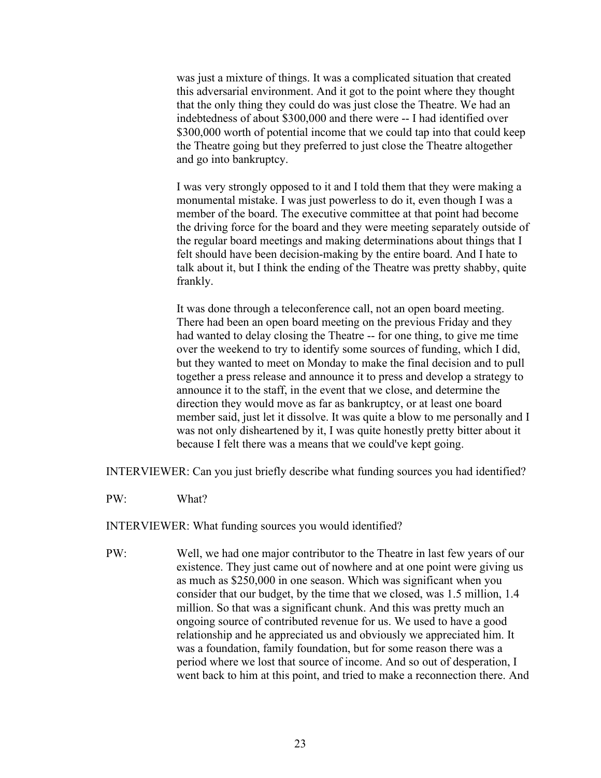was just a mixture of things. It was a complicated situation that created this adversarial environment. And it got to the point where they thought that the only thing they could do was just close the Theatre. We had an indebtedness of about \$300,000 and there were -- I had identified over \$300,000 worth of potential income that we could tap into that could keep the Theatre going but they preferred to just close the Theatre altogether and go into bankruptcy.

I was very strongly opposed to it and I told them that they were making a monumental mistake. I was just powerless to do it, even though I was a member of the board. The executive committee at that point had become the driving force for the board and they were meeting separately outside of the regular board meetings and making determinations about things that I felt should have been decision-making by the entire board. And I hate to talk about it, but I think the ending of the Theatre was pretty shabby, quite frankly.

It was done through a teleconference call, not an open board meeting. There had been an open board meeting on the previous Friday and they had wanted to delay closing the Theatre -- for one thing, to give me time over the weekend to try to identify some sources of funding, which I did, but they wanted to meet on Monday to make the final decision and to pull together a press release and announce it to press and develop a strategy to announce it to the staff, in the event that we close, and determine the direction they would move as far as bankruptcy, or at least one board member said, just let it dissolve. It was quite a blow to me personally and I was not only disheartened by it, I was quite honestly pretty bitter about it because I felt there was a means that we could've kept going.

INTERVIEWER: Can you just briefly describe what funding sources you had identified?

PW: What?

INTERVIEWER: What funding sources you would identified?

PW: Well, we had one major contributor to the Theatre in last few years of our existence. They just came out of nowhere and at one point were giving us as much as \$250,000 in one season. Which was significant when you consider that our budget, by the time that we closed, was 1.5 million, 1.4 million. So that was a significant chunk. And this was pretty much an ongoing source of contributed revenue for us. We used to have a good relationship and he appreciated us and obviously we appreciated him. It was a foundation, family foundation, but for some reason there was a period where we lost that source of income. And so out of desperation, I went back to him at this point, and tried to make a reconnection there. And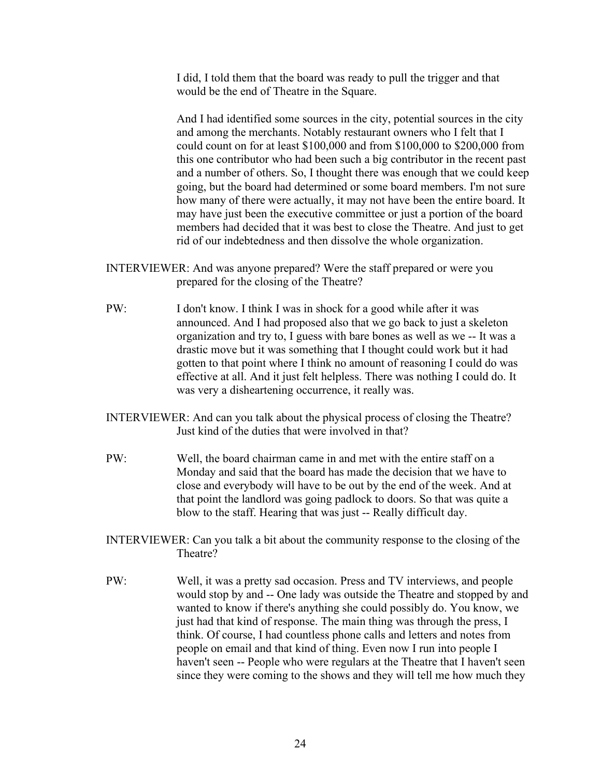I did, I told them that the board was ready to pull the trigger and that would be the end of Theatre in the Square.

And I had identified some sources in the city, potential sources in the city and among the merchants. Notably restaurant owners who I felt that I could count on for at least \$100,000 and from \$100,000 to \$200,000 from this one contributor who had been such a big contributor in the recent past and a number of others. So, I thought there was enough that we could keep going, but the board had determined or some board members. I'm not sure how many of there were actually, it may not have been the entire board. It may have just been the executive committee or just a portion of the board members had decided that it was best to close the Theatre. And just to get rid of our indebtedness and then dissolve the whole organization.

- INTERVIEWER: And was anyone prepared? Were the staff prepared or were you prepared for the closing of the Theatre?
- PW: I don't know. I think I was in shock for a good while after it was announced. And I had proposed also that we go back to just a skeleton organization and try to, I guess with bare bones as well as we -- It was a drastic move but it was something that I thought could work but it had gotten to that point where I think no amount of reasoning I could do was effective at all. And it just felt helpless. There was nothing I could do. It was very a disheartening occurrence, it really was.
- INTERVIEWER: And can you talk about the physical process of closing the Theatre? Just kind of the duties that were involved in that?
- PW: Well, the board chairman came in and met with the entire staff on a Monday and said that the board has made the decision that we have to close and everybody will have to be out by the end of the week. And at that point the landlord was going padlock to doors. So that was quite a blow to the staff. Hearing that was just -- Really difficult day.
- INTERVIEWER: Can you talk a bit about the community response to the closing of the Theatre?
- PW: Well, it was a pretty sad occasion. Press and TV interviews, and people would stop by and -- One lady was outside the Theatre and stopped by and wanted to know if there's anything she could possibly do. You know, we just had that kind of response. The main thing was through the press, I think. Of course, I had countless phone calls and letters and notes from people on email and that kind of thing. Even now I run into people I haven't seen -- People who were regulars at the Theatre that I haven't seen since they were coming to the shows and they will tell me how much they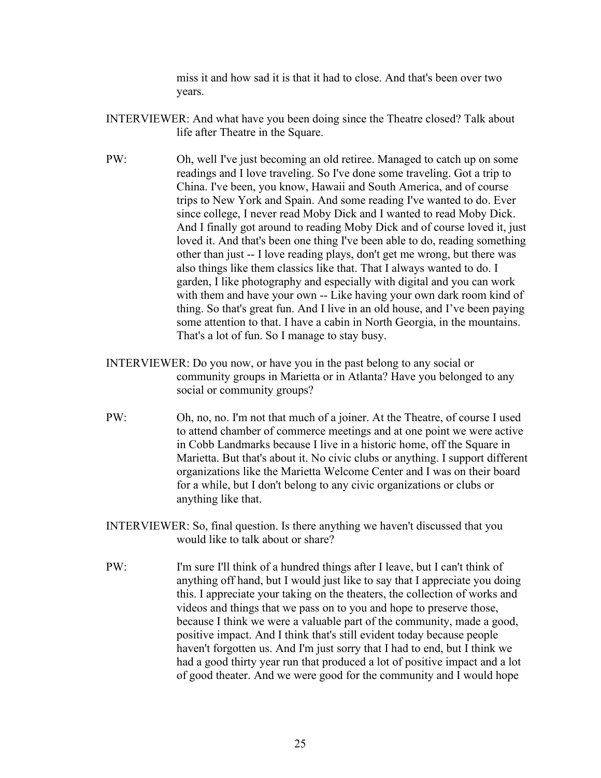miss it and how sad it is that it had to close. And that's been over two years.

- INTERVIEWER: And what have you been doing since the Theatre closed? Talk about life after Theatre in the Square.
- PW: Oh, well I've just becoming an old retiree. Managed to catch up on some readings and I love traveling. So I've done some traveling. Got a trip to China. I've been, you know, Hawaii and South America, and of course trips to New York and Spain. And some reading I've wanted to do. Ever since college, I never read Moby Dick and I wanted to read Moby Dick. And I finally got around to reading Moby Dick and of course loved it, just loved it. And that's been one thing I've been able to do, reading something other than just -- I love reading plays, don't get me wrong, but there was also things like them classics like that. That I always wanted to do. I garden, I like photography and especially with digital and you can work with them and have your own -- Like having your own dark room kind of thing. So that's great fun. And I live in an old house, and I've been paying some attention to that. I have a cabin in North Georgia, in the mountains. That's a lot of fun. So I manage to stay busy.
- INTERVIEWER: Do you now, or have you in the past belong to any social or community groups in Marietta or in Atlanta? Have you belonged to any social or community groups?
- PW: Oh, no, no. I'm not that much of a joiner. At the Theatre, of course I used to attend chamber of commerce meetings and at one point we were active in Cobb Landmarks because I live in a historic home, off the Square in Marietta. But that's about it. No civic clubs or anything. I support different organizations like the Marietta Welcome Center and I was on their board for a while, but I don't belong to any civic organizations or clubs or anything like that.
- INTERVIEWER: So, final question. Is there anything we haven't discussed that you would like to talk about or share?
- PW: I'm sure I'll think of a hundred things after I leave, but I can't think of anything off hand, but I would just like to say that I appreciate you doing this. I appreciate your taking on the theaters, the collection of works and videos and things that we pass on to you and hope to preserve those, because I think we were a valuable part of the community, made a good, positive impact. And I think that's still evident today because people haven't forgotten us. And I'm just sorry that I had to end, but I think we had a good thirty year run that produced a lot of positive impact and a lot of good theater. And we were good for the community and I would hope